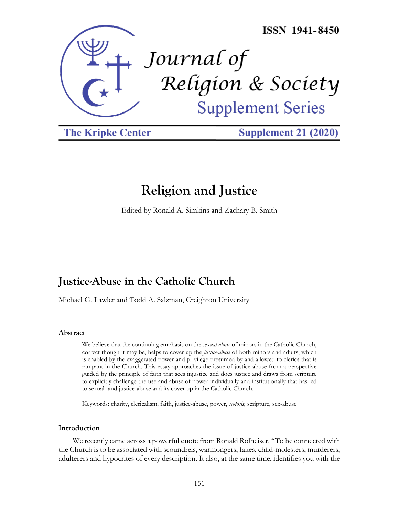

**The Kripke Center** 

**Supplement 21 (2020)** 

# **Religion and Justice**

Edited by Ronald A. Simkins and Zachary B. Smith

# **Justice-Abuse in the Catholic Church**

Michael G. Lawler and Todd A. Salzman, Creighton University

#### **Abstract**

We believe that the continuing emphasis on the *sexual-abuse* of minors in the Catholic Church, correct though it may be, helps to cover up the *justice-abuse* of both minors and adults, which is enabled by the exaggerated power and privilege presumed by and allowed to clerics that is rampant in the Church. This essay approaches the issue of justice-abuse from a perspective guided by the principle of faith that sees injustice and does justice and draws from scripture to explicitly challenge the use and abuse of power individually and institutionally that has led to sexual- and justice-abuse and its cover up in the Catholic Church.

Keywords: charity, clericalism, faith, justice-abuse, power, *scotosis*, scripture, sex-abuse

#### **Introduction**

We recently came across a powerful quote from Ronald Rolheiser. "To be connected with the Church is to be associated with scoundrels, warmongers, fakes, child-molesters, murderers, adulterers and hypocrites of every description. It also, at the same time, identifies you with the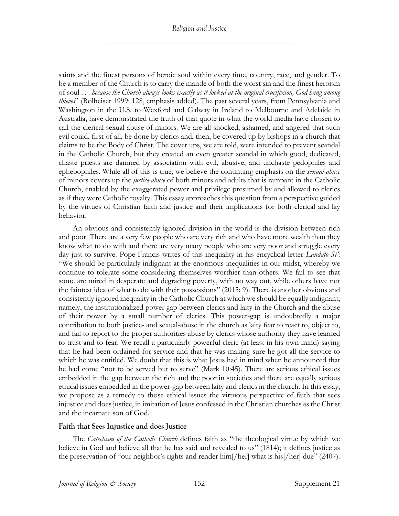saints and the finest persons of heroic soul within every time, country, race, and gender. To be a member of the Church is to carry the mantle of both the worst sin and the finest heroism of soul . . . *because the Church always looks exactly as it looked at the original crucifixion, God hung among thieves*" (Rolheiser 1999: 128, emphasis added). The past several years, from Pennsylvania and Washington in the U.S. to Wexford and Galway in Ireland to Melbourne and Adelaide in Australia, have demonstrated the truth of that quote in what the world media have chosen to call the clerical sexual abuse of minors. We are all shocked, ashamed, and angered that such evil could, first of all, be done by clerics and, then, be covered up by bishops in a church that claims to be the Body of Christ. The cover ups, we are told, were intended to prevent scandal in the Catholic Church, but they created an even greater scandal in which good, dedicated, chaste priests are damned by association with evil, abusive, and unchaste pedophiles and ephebophiles. While all of this is true, we believe the continuing emphasis on the *sexual-abuse*  of minors covers up the *justice-abuse* of both minors and adults that is rampant in the Catholic Church, enabled by the exaggerated power and privilege presumed by and allowed to clerics as if they were Catholic royalty. This essay approaches this question from a perspective guided by the virtues of Christian faith and justice and their implications for both clerical and lay behavior.

An obvious and consistently ignored division in the world is the division between rich and poor. There are a very few people who are very rich and who have more wealth than they know what to do with and there are very many people who are very poor and struggle every day just to survive. Pope Francis writes of this inequality in his encyclical letter *Laudato Si'*: "We should be particularly indignant at the enormous inequalities in our midst, whereby we continue to tolerate some considering themselves worthier than others. We fail to see that some are mired in desperate and degrading poverty, with no way out, while others have not the faintest idea of what to do with their possessions" (2015: 9). There is another obvious and consistently ignored inequality in the Catholic Church at which we should be equally indignant, namely, the institutionalized power gap between clerics and laity in the Church and the abuse of their power by a small number of clerics. This power-gap is undoubtedly a major contribution to both justice- and sexual-abuse in the church as laity fear to react to, object to, and fail to report to the proper authorities abuse by clerics whose authority they have learned to trust and to fear. We recall a particularly powerful cleric (at least in his own mind) saying that he had been ordained for service and that he was making sure he got all the service to which he was entitled. We doubt that this is what Jesus had in mind when he announced that he had come "not to be served but to serve" (Mark 10:45). There are serious ethical issues embedded in the gap between the rich and the poor in societies and there are equally serious ethical issues embedded in the power-gap between laity and clerics in the church. In this essay, we propose as a remedy to those ethical issues the virtuous perspective of faith that sees injustice and does justice, in imitation of Jesus confessed in the Christian churches as the Christ and the incarnate son of God.

#### **Faith that Sees Injustice and does Justice**

The *Catechism of the Catholic Church* defines faith as "the theological virtue by which we believe in God and believe all that he has said and revealed to us" (1814); it defines justice as the preservation of "our neighbor's rights and render him[/her] what is his[/her] due" (2407).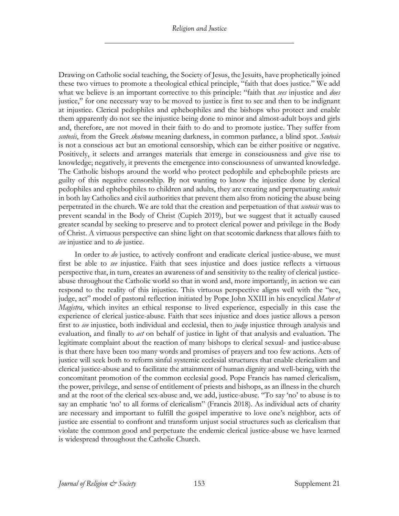Drawing on Catholic social teaching, the Society of Jesus, the Jesuits, have prophetically joined these two virtues to promote a theological ethical principle, "faith that does justice." We add what we believe is an important corrective to this principle: "faith that *sees* injustice and *does* justice," for one necessary way to be moved to justice is first to see and then to be indignant at injustice. Clerical pedophiles and ephebophiles and the bishops who protect and enable them apparently do not see the injustice being done to minor and almost-adult boys and girls and, therefore, are not moved in their faith to do and to promote justice. They suffer from *scotosis*, from the Greek *skotoma* meaning darkness, in common parlance, a blind spot. *Scotosis*  is not a conscious act but an emotional censorship, which can be either positive or negative. Positively, it selects and arranges materials that emerge in consciousness and give rise to knowledge; negatively, it prevents the emergence into consciousness of unwanted knowledge. The Catholic bishops around the world who protect pedophile and ephebophile priests are guilty of this negative censorship. By not wanting to know the injustice done by clerical pedophiles and ephebophiles to children and adults, they are creating and perpetuating *scotosis* in both lay Catholics and civil authorities that prevent them also from noticing the abuse being perpetrated in the church. We are told that the creation and perpetuation of that *scotosis* was to prevent scandal in the Body of Christ (Cupich 2019), but we suggest that it actually caused greater scandal by seeking to preserve and to protect clerical power and privilege in the Body of Christ. A virtuous perspective can shine light on that scotomic darkness that allows faith to *see* injustice and to *do* justice.

In order to *do* justice, to actively confront and eradicate clerical justice-abuse, we must first be able to *see* injustice. Faith that sees injustice and does justice reflects a virtuous perspective that, in turn, creates an awareness of and sensitivity to the reality of clerical justiceabuse throughout the Catholic world so that in word and, more importantly, in action we can respond to the reality of this injustice. This virtuous perspective aligns well with the "see, judge, act" model of pastoral reflection initiated by Pope John XXIII in his encyclical *Mater et Magistra*, which invites an ethical response to lived experience, especially in this case the experience of clerical justice-abuse. Faith that sees injustice and does justice allows a person first to *see* injustice, both individual and ecclesial, then to *judge* injustice through analysis and evaluation, and finally to *act* on behalf of justice in light of that analysis and evaluation. The legitimate complaint about the reaction of many bishops to clerical sexual- and justice-abuse is that there have been too many words and promises of prayers and too few actions. Acts of justice will seek both to reform sinful systemic ecclesial structures that enable clericalism and clerical justice-abuse and to facilitate the attainment of human dignity and well-being, with the concomitant promotion of the common ecclesial good. Pope Francis has named clericalism, the power, privilege, and sense of entitlement of priests and bishops, as an illness in the church and at the root of the clerical sex-abuse and, we add, justice-abuse. "To say 'no' to abuse is to say an emphatic 'no' to all forms of clericalism" (Francis 2018). As individual acts of charity are necessary and important to fulfill the gospel imperative to love one's neighbor, acts of justice are essential to confront and transform unjust social structures such as clericalism that violate the common good and perpetuate the endemic clerical justice-abuse we have learned is widespread throughout the Catholic Church.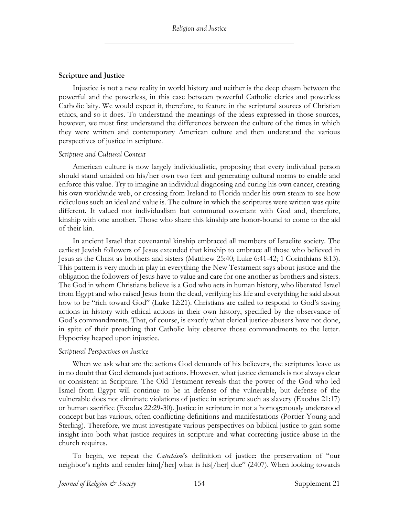#### **Scripture and Justice**

Injustice is not a new reality in world history and neither is the deep chasm between the powerful and the powerless, in this case between powerful Catholic clerics and powerless Catholic laity. We would expect it, therefore, to feature in the scriptural sources of Christian ethics, and so it does. To understand the meanings of the ideas expressed in those sources, however, we must first understand the differences between the culture of the times in which they were written and contemporary American culture and then understand the various perspectives of justice in scripture.

#### *Scripture and Cultural Context*

American culture is now largely individualistic, proposing that every individual person should stand unaided on his/her own two feet and generating cultural norms to enable and enforce this value. Try to imagine an individual diagnosing and curing his own cancer, creating his own worldwide web, or crossing from Ireland to Florida under his own steam to see how ridiculous such an ideal and value is. The culture in which the scriptures were written was quite different. It valued not individualism but communal covenant with God and, therefore, kinship with one another. Those who share this kinship are honor-bound to come to the aid of their kin.

In ancient Israel that covenantal kinship embraced all members of Israelite society. The earliest Jewish followers of Jesus extended that kinship to embrace all those who believed in Jesus as the Christ as brothers and sisters (Matthew 25:40; Luke 6:41-42; 1 Corinthians 8:13). This pattern is very much in play in everything the New Testament says about justice and the obligation the followers of Jesus have to value and care for one another as brothers and sisters. The God in whom Christians believe is a God who acts in human history, who liberated Israel from Egypt and who raised Jesus from the dead, verifying his life and everything he said about how to be "rich toward God" (Luke 12:21). Christians are called to respond to God's saving actions in history with ethical actions in their own history, specified by the observance of God's commandments. That, of course, is exactly what clerical justice-abusers have not done, in spite of their preaching that Catholic laity observe those commandments to the letter. Hypocrisy heaped upon injustice.

#### *Scriptural Perspectives on Justice*

When we ask what are the actions God demands of his believers, the scriptures leave us in no doubt that God demands just actions. However, what justice demands is not always clear or consistent in Scripture. The Old Testament reveals that the power of the God who led Israel from Egypt will continue to be in defense of the vulnerable, but defense of the vulnerable does not eliminate violations of justice in scripture such as slavery (Exodus 21:17) or human sacrifice (Exodus 22:29-30). Justice in scripture in not a homogenously understood concept but has various, often conflicting definitions and manifestations (Portier-Young and Sterling). Therefore, we must investigate various perspectives on biblical justice to gain some insight into both what justice requires in scripture and what correcting justice-abuse in the church requires.

To begin, we repeat the *Catechism*'s definition of justice: the preservation of "our neighbor's rights and render him[/her] what is his[/her] due" (2407). When looking towards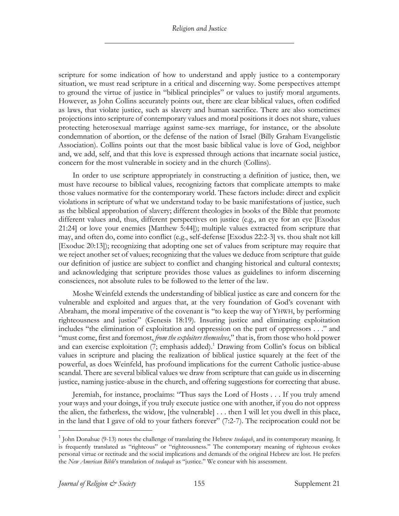scripture for some indication of how to understand and apply justice to a contemporary situation, we must read scripture in a critical and discerning way. Some perspectives attempt to ground the virtue of justice in "biblical principles" or values to justify moral arguments. However, as John Collins accurately points out, there are clear biblical values, often codified as laws, that violate justice, such as slavery and human sacrifice. There are also sometimes projections into scripture of contemporary values and moral positions it does not share, values protecting heterosexual marriage against same-sex marriage, for instance, or the absolute condemnation of abortion, or the defense of the nation of Israel (Billy Graham Evangelistic Association). Collins points out that the most basic biblical value is love of God, neighbor and, we add, self, and that this love is expressed through actions that incarnate social justice, concern for the most vulnerable in society and in the church (Collins).

In order to use scripture appropriately in constructing a definition of justice, then, we must have recourse to biblical values, recognizing factors that complicate attempts to make those values normative for the contemporary world. These factors include: direct and explicit violations in scripture of what we understand today to be basic manifestations of justice, such as the biblical approbation of slavery; different theologies in books of the Bible that promote different values and, thus, different perspectives on justice (e.g., an eye for an eye [Exodus 21:24] or love your enemies [Matthew 5:44]); multiple values extracted from scripture that may, and often do, come into conflict (e.g., self-defense [Exodus 22:2-3] vs. thou shalt not kill [Exoduc 20:13]); recognizing that adopting one set of values from scripture may require that we reject another set of values; recognizing that the values we deduce from scripture that guide our definition of justice are subject to conflict and changing historical and cultural contexts; and acknowledging that scripture provides those values as guidelines to inform discerning consciences, not absolute rules to be followed to the letter of the law.

Moshe Weinfeld extends the understanding of biblical justice as care and concern for the vulnerable and exploited and argues that, at the very foundation of God's covenant with Abraham, the moral imperative of the covenant is "to keep the way of YHWH, by performing righteousness and justice" (Genesis 18:19). Insuring justice and eliminating exploitation includes "the elimination of exploitation and oppression on the part of oppressors . . ." and "must come, first and foremost, *from the exploiters themselves*," that is, from those who hold power and can exercise exploitation  $(7;$  emphasis added).<sup>1</sup> Drawing from Collin's focus on biblical values in scripture and placing the realization of biblical justice squarely at the feet of the powerful, as does Weinfeld, has profound implications for the current Catholic justice-abuse scandal. There are several biblical values we draw from scripture that can guide us in discerning justice, naming justice-abuse in the church, and offering suggestions for correcting that abuse.

Jeremiah, for instance, proclaims: "Thus says the Lord of Hosts . . . If you truly amend your ways and your doings, if you truly execute justice one with another, if you do not oppress the alien, the fatherless, the widow, [the vulnerable] . . . then I will let you dwell in this place, in the land that I gave of old to your fathers forever" (7:2-7). The reciprocation could not be

<sup>1</sup> John Donahue (9-13) notes the challenge of translating the Hebrew *tsedaqah*, and its contemporary meaning. It is frequently translated as "righteous" or "righteousness." The contemporary meaning of righteous evokes personal virtue or rectitude and the social implications and demands of the original Hebrew are lost. He prefers the *New American Bible*'s translation of *tsedaqah* as "justice." We concur with his assessment.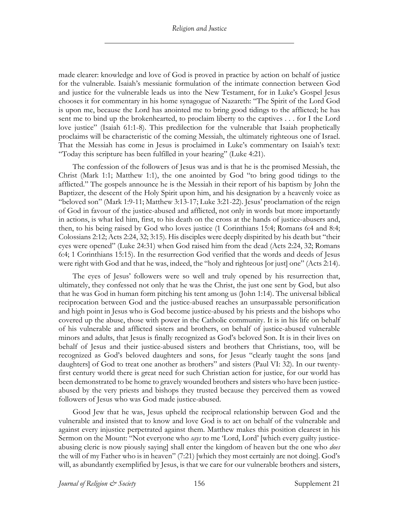made clearer: knowledge and love of God is proved in practice by action on behalf of justice for the vulnerable. Isaiah's messianic formulation of the intimate connection between God and justice for the vulnerable leads us into the New Testament, for in Luke's Gospel Jesus chooses it for commentary in his home synagogue of Nazareth: "The Spirit of the Lord God is upon me, because the Lord has anointed me to bring good tidings to the afflicted; he has sent me to bind up the brokenhearted, to proclaim liberty to the captives . . . for I the Lord love justice" (Isaiah 61:1-8). This predilection for the vulnerable that Isaiah prophetically proclaims will be characteristic of the coming Messiah, the ultimately righteous one of Israel. That the Messiah has come in Jesus is proclaimed in Luke's commentary on Isaiah's text: "Today this scripture has been fulfilled in your hearing" (Luke 4:21).

The confession of the followers of Jesus was and is that he is the promised Messiah, the Christ (Mark 1:1; Matthew 1:1), the one anointed by God "to bring good tidings to the afflicted." The gospels announce he is the Messiah in their report of his baptism by John the Baptizer, the descent of the Holy Spirit upon him, and his designation by a heavenly voice as "beloved son" (Mark 1:9-11; Matthew 3:13-17; Luke 3:21-22). Jesus' proclamation of the reign of God in favour of the justice-abused and afflicted, not only in words but more importantly in actions, is what led him, first, to his death on the cross at the hands of justice-abusers and, then, to his being raised by God who loves justice (1 Corinthians 15:4; Romans 6:4 and 8:4; Colossians 2:12; Acts 2:24, 32; 3:15). His disciples were deeply dispirited by his death but "their eyes were opened" (Luke 24:31) when God raised him from the dead (Acts 2:24, 32; Romans 6:4; 1 Corinthians 15:15). In the resurrection God verified that the words and deeds of Jesus were right with God and that he was, indeed, the "holy and righteous [or just] one" (Acts 2:14).

The eyes of Jesus' followers were so well and truly opened by his resurrection that, ultimately, they confessed not only that he was the Christ, the just one sent by God, but also that he was God in human form pitching his tent among us (John 1:14). The universal biblical reciprocation between God and the justice-abused reaches an unsurpassable personification and high point in Jesus who is God become justice-abused by his priests and the bishops who covered up the abuse, those with power in the Catholic community. It is in his life on behalf of his vulnerable and afflicted sisters and brothers, on behalf of justice-abused vulnerable minors and adults, that Jesus is finally recognized as God's beloved Son. It is in their lives on behalf of Jesus and their justice-abused sisters and brothers that Christians, too, will be recognized as God's beloved daughters and sons, for Jesus "clearly taught the sons [and daughters] of God to treat one another as brothers" and sisters (Paul VI: 32). In our twentyfirst century world there is great need for such Christian action for justice, for our world has been demonstrated to be home to gravely wounded brothers and sisters who have been justiceabused by the very priests and bishops they trusted because they perceived them as vowed followers of Jesus who was God made justice-abused.

Good Jew that he was, Jesus upheld the reciprocal relationship between God and the vulnerable and insisted that to know and love God is to act on behalf of the vulnerable and against every injustice perpetrated against them. Matthew makes this position clearest in his Sermon on the Mount: "Not everyone who *says* to me 'Lord, Lord' [which every guilty justiceabusing cleric is now piously saying] shall enter the kingdom of heaven but the one who *does*  the will of my Father who is in heaven" (7:21) [which they most certainly are not doing]. God's will, as abundantly exemplified by Jesus, is that we care for our vulnerable brothers and sisters,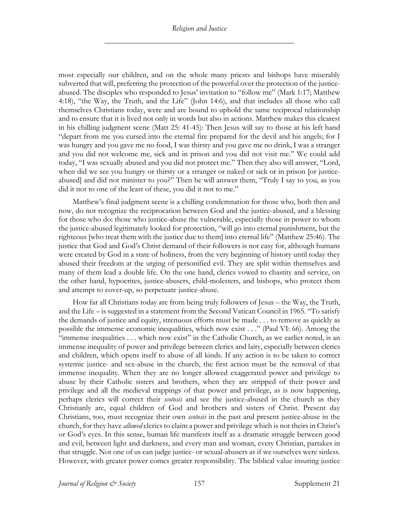most especially our children, and on the whole many priests and bishops have miserably subverted that will, preferring the protection of the powerful over the protection of the justiceabused. The disciples who responded to Jesus' invitation to "follow me" (Mark 1:17; Matthew 4:18), "the Way, the Truth, and the Life" (John 14:6), and that includes all those who call themselves Christians today, were and are bound to uphold the same reciprocal relationship and to ensure that it is lived not only in words but also in actions. Matthew makes this clearest in his chilling judgment scene (Matt 25: 41-45): Then Jesus will say to those at his left hand "depart from me you cursed into the eternal fire prepared for the devil and his angels; for I was hungry and you gave me no food, I was thirsty and you gave me no drink, I was a stranger and you did not welcome me, sick and in prison and you did not visit me." We could add today, "I was sexually abused and you did not protect me." Then they also will answer, "Lord, when did we see you hungry or thirsty or a stranger or naked or sick or in prison [or justiceabused] and did not minister to you?" Then he will answer them, "Truly I say to you, as you did it not to one of the least of these, you did it not to me."

Matthew's final judgment scene is a chilling condemnation for those who, both then and now, do not recognize the reciprocation between God and the justice-abused, and a blessing for those who do: those who justice-abuse the vulnerable, especially those in power to whom the justice-abused legitimately looked for protection, "will go into eternal punishment, but the righteous [who treat them with the justice due to them] into eternal life" (Matthew 25:46). The justice that God and God's Christ demand of their followers is not easy for, although humans were created by God in a state of holiness, from the very beginning of history until today they abused their freedom at the urging of personified evil. They are split within themselves and many of them lead a double life. On the one hand, clerics vowed to chastity and service, on the other hand, hypocrites, justice-abusers, child-molesters, and bishops, who protect them and attempt to cover-up, so perpetuate justice-abuse.

How far all Christians today are from being truly followers of Jesus – the Way, the Truth, and the Life – is suggested in a statement from the Second Vatican Council in 1965. "To satisfy the demands of justice and equity, strenuous efforts must be made . . . to remove as quickly as possible the immense economic inequalities, which now exist . . ." (Paul VI: 66). Among the "immense inequalities . . . which now exist" in the Catholic Church, as we earlier noted, is an immense inequality of power and privilege between clerics and laity, especially between clerics and children, which opens itself to abuse of all kinds. If any action is to be taken to correct systemic justice- and sex-abuse in the church, the first action must be the removal of that immense inequality. When they are no longer allowed exaggerated power and privilege to abuse by their Catholic sisters and brothers, when they are stripped of their power and privilege and all the medieval trappings of that power and privilege, as is now happening, perhaps clerics will correct their *scotosis* and see the justice-abused in the church as they Christianly are, equal children of God and brothers and sisters of Christ. Present day Christians, too, must recognize their own *scotosis* in the past and present justice-abuse in the church, for they have *allowed* clerics to claim a power and privilege which is not theirs in Christ's or God's eyes. In this sense, human life manifests itself as a dramatic struggle between good and evil, between light and darkness, and every man and woman, every Christian, partakes in that struggle. Not one of us can judge justice- or sexual-abusers as if we ourselves were sinless. However, with greater power comes greater responsibility. The biblical value insuring justice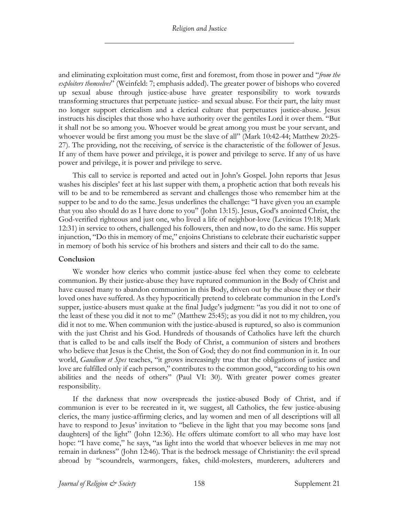and eliminating exploitation must come, first and foremost, from those in power and "*from the exploiters themselves*" (Weinfeld: 7; emphasis added). The greater power of bishops who covered up sexual abuse through justice-abuse have greater responsibility to work towards transforming structures that perpetuate justice- and sexual abuse. For their part, the laity must no longer support clericalism and a clerical culture that perpetuates justice-abuse. Jesus instructs his disciples that those who have authority over the gentiles Lord it over them. "But it shall not be so among you. Whoever would be great among you must be your servant, and whoever would be first among you must be the slave of all" (Mark 10:42-44; Matthew 20:25- 27). The providing, not the receiving, of service is the characteristic of the follower of Jesus. If any of them have power and privilege, it is power and privilege to serve. If any of us have power and privilege, it is power and privilege to serve.

This call to service is reported and acted out in John's Gospel. John reports that Jesus washes his disciples' feet at his last supper with them, a prophetic action that both reveals his will to be and to be remembered as servant and challenges those who remember him at the supper to be and to do the same. Jesus underlines the challenge: "I have given you an example that you also should do as I have done to you" (John 13:15). Jesus, God's anointed Christ, the God-verified righteous and just one, who lived a life of neighbor-love (Leviticus 19:18; Mark 12:31) in service to others, challenged his followers, then and now, to do the same. His supper injunction, "Do this in memory of me," enjoins Christians to celebrate their eucharistic supper in memory of both his service of his brothers and sisters and their call to do the same.

#### **Conclusion**

We wonder how clerics who commit justice-abuse feel when they come to celebrate communion. By their justice-abuse they have ruptured communion in the Body of Christ and have caused many to abandon communion in this Body, driven out by the abuse they or their loved ones have suffered. As they hypocritically pretend to celebrate communion in the Lord's supper, justice-abusers must quake at the final Judge's judgment: "as you did it not to one of the least of these you did it not to me" (Matthew 25:45); as you did it not to my children, you did it not to me. When communion with the justice-abused is ruptured, so also is communion with the just Christ and his God. Hundreds of thousands of Catholics have left the church that is called to be and calls itself the Body of Christ, a communion of sisters and brothers who believe that Jesus is the Christ, the Son of God; they do not find communion in it. In our world, *Gaudium et Spes* teaches, "it grows increasingly true that the obligations of justice and love are fulfilled only if each person," contributes to the common good, "according to his own abilities and the needs of others" (Paul VI: 30). With greater power comes greater responsibility.

If the darkness that now overspreads the justice-abused Body of Christ, and if communion is ever to be recreated in it, we suggest, all Catholics, the few justice-abusing clerics, the many justice-affirming clerics, and lay women and men of all descriptions will all have to respond to Jesus' invitation to "believe in the light that you may become sons [and daughters] of the light" (John 12:36). He offers ultimate comfort to all who may have lost hope: "I have come," he says, "as light into the world that whoever believes in me may not remain in darkness" (John 12:46). That is the bedrock message of Christianity: the evil spread abroad by "scoundrels, warmongers, fakes, child-molesters, murderers, adulterers and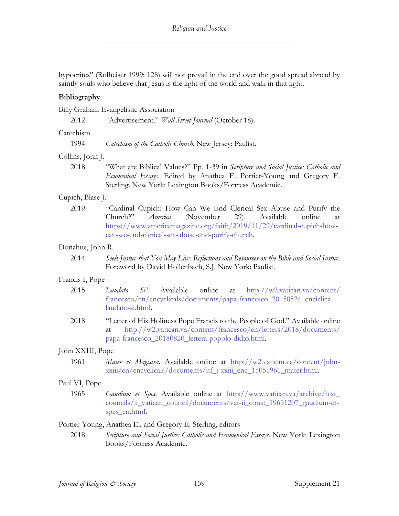hypocrites" (Rolheiser 1999: 128) will not prevail in the end over the good spread abroad by saintly souls who believe that Jesus is the light of the world and walk in that light.

# **Bibliography**

Billy Graham Evangelistic Association

2012 "Advertisement." *Wall Street Journal* (October 18).

#### Catechism

1994 *Catechism of the Catholic Church*. New Jersey: Paulist.

# Collins, John J.

2018 "What are Biblical Values?" Pp. 1-39 in *Scripture and Social Justice: Catholic and Ecumenical Essays*. Edited by Anathea E. Portier-Young and Gregory E. Sterling. New York: Lexington Books/Fortress Academic.

#### Cupich, Blase J.

2019 "Cardinal Cupich: How Can We End Clerical Sex Abuse and Purify the Church?" *America* (November 29). Available online at https://www.americamagazine.org/faith/2019/11/29/cardinal-cupich-howcan-we-end-clerical-sex-abuse-and-purify-church.

# Donahue, John R.

2014 *Seek Justice that You May Live: Reflections and Resources on the Bible and Social Justice*. Foreword by David Hollenbach, S.J. New York: Paulist.

#### Francis I, Pope

- 2015 *Laudato Si'*. Available online at http://w2.vatican.va/content/ francesco/en/encyclicals/documents/papa-francesco\_20150524\_enciclicalaudato-si.html.
- 2018 "Letter of His Holiness Pope Francis to the People of God." Available online at http://w2.vatican.va/content/francesco/en/letters/2018/documents/ papa-francesco\_20180820\_lettera-popolo-didio.html.

# John XXIII, Pope

1961 *Mater et Magistra*. Available online at http://w2.vatican.va/content/johnxxiii/en/encyclicals/documents/hf\_j-xxiii\_enc\_15051961\_mater.html.

#### Paul VI, Pope

1965 *Gaudium et Spes*. Available online at http://www.vatican.va/archive/hist\_ councils/ii\_vatican\_council/documents/vat-ii\_const\_19651207\_gaudium-etspes\_en.html.

#### Portier-Young, Anathea E., and Gregory E. Sterling, editors

2018 *Scripture and Social Justice: Catholic and Ecumenical Essays*. New York: Lexington Books/Fortress Academic.